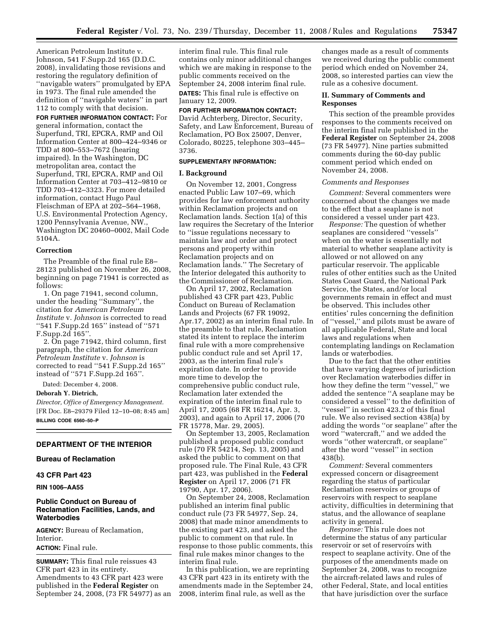American Petroleum Institute v. Johnson, 541 F.Supp.2d 165 (D.D.C. 2008), invalidating those revisions and restoring the regulatory definition of ''navigable waters'' promulgated by EPA in 1973. The final rule amended the definition of ''navigable waters'' in part 112 to comply with that decision.

**FOR FURTHER INFORMATION CONTACT:** For general information, contact the Superfund, TRI, EPCRA, RMP and Oil Information Center at 800–424–9346 or TDD at 800–553–7672 (hearing impaired). In the Washington, DC metropolitan area, contact the Superfund, TRI, EPCRA, RMP and Oil Information Center at 703–412–9810 or TDD 703–412–3323. For more detailed information, contact Hugo Paul Fleischman of EPA at 202–564–1968, U.S. Environmental Protection Agency, 1200 Pennsylvania Avenue, NW., Washington DC 20460–0002, Mail Code 5104A.

#### **Correction**

The Preamble of the final rule E8– 28123 published on November 26, 2008, beginning on page 71941 is corrected as follows:

1. On page 71941, second column, under the heading ''Summary'', the citation for *American Petroleum Institute* v. *Johnson* is corrected to read ''541 F.Supp.2d 165'' instead of ''571 F.Supp.2d 165''.

2. On page 71942, third column, first paragraph, the citation for *American Petroleum Institute* v. *Johnson* is corrected to read ''541 F.Supp.2d 165'' instead of ''571 F.Supp.2d 165''.

Dated: December 4, 2008.

**Deborah Y. Dietrich,** 

*Director, Office of Emergency Management.*  [FR Doc. E8–29379 Filed 12–10–08; 8:45 am] **BILLING CODE 6560–50–P** 

## **DEPARTMENT OF THE INTERIOR**

#### **Bureau of Reclamation**

## **43 CFR Part 423**

**RIN 1006–AA55** 

## **Public Conduct on Bureau of Reclamation Facilities, Lands, and Waterbodies**

**AGENCY:** Bureau of Reclamation, Interior.

## **ACTION:** Final rule.

**SUMMARY:** This final rule reissues 43 CFR part 423 in its entirety. Amendments to 43 CFR part 423 were published in the **Federal Register** on September 24, 2008, (73 FR 54977) as an

interim final rule. This final rule contains only minor additional changes which we are making in response to the public comments received on the September 24, 2008 interim final rule. **DATES:** This final rule is effective on January 12, 2009.

## **FOR FURTHER INFORMATION CONTACT:**

David Achterberg, Director, Security, Safety, and Law Enforcement, Bureau of Reclamation, PO Box 25007, Denver, Colorado, 80225, telephone 303–445– 3736.

## **SUPPLEMENTARY INFORMATION:**

#### **I. Background**

On November 12, 2001, Congress enacted Public Law 107–69, which provides for law enforcement authority within Reclamation projects and on Reclamation lands. Section 1(a) of this law requires the Secretary of the Interior to ''issue regulations necessary to maintain law and order and protect persons and property within Reclamation projects and on Reclamation lands.'' The Secretary of the Interior delegated this authority to the Commissioner of Reclamation.

On April 17, 2002, Reclamation published 43 CFR part 423, Public Conduct on Bureau of Reclamation Lands and Projects (67 FR 19092, Apr.17, 2002) as an interim final rule. In the preamble to that rule, Reclamation stated its intent to replace the interim final rule with a more comprehensive public conduct rule and set April 17, 2003, as the interim final rule's expiration date. In order to provide more time to develop the comprehensive public conduct rule, Reclamation later extended the expiration of the interim final rule to April 17, 2005 (68 FR 16214, Apr. 3, 2003), and again to April 17, 2006 (70 FR 15778, Mar. 29, 2005).

On September 13, 2005, Reclamation published a proposed public conduct rule (70 FR 54214, Sep. 13, 2005) and asked the public to comment on that proposed rule. The Final Rule, 43 CFR part 423, was published in the **Federal Register** on April 17, 2006 (71 FR 19790, Apr. 17, 2006).

On September 24, 2008, Reclamation published an interim final public conduct rule (73 FR 54977, Sep. 24, 2008) that made minor amendments to the existing part 423, and asked the public to comment on that rule. In response to those public comments, this final rule makes minor changes to the interim final rule.

In this publication, we are reprinting 43 CFR part 423 in its entirety with the amendments made in the September 24, 2008, interim final rule, as well as the

changes made as a result of comments we received during the public comment period which ended on November 24, 2008, so interested parties can view the rule as a cohesive document.

## **II. Summary of Comments and Responses**

This section of the preamble provides responses to the comments received on the interim final rule published in the **Federal Register** on September 24, 2008 (73 FR 54977). Nine parties submitted comments during the 60-day public comment period which ended on November 24, 2008.

#### *Comments and Responses*

*Comment:* Several commenters were concerned about the changes we made to the effect that a seaplane is not considered a vessel under part 423.

*Response:* The question of whether seaplanes are considered ''vessels'' when on the water is essentially not material to whether seaplane activity is allowed or not allowed on any particular reservoir. The applicable rules of other entities such as the United States Coast Guard, the National Park Service, the States, and/or local governments remain in effect and must be observed. This includes other entities' rules concerning the definition of ''vessel,'' and pilots must be aware of all applicable Federal, State and local laws and regulations when contemplating landings on Reclamation lands or waterbodies.

Due to the fact that the other entities that have varying degrees of jurisdiction over Reclamation waterbodies differ in how they define the term ''vessel,'' we added the sentence ''A seaplane may be considered a vessel'' to the definition of ''vessel'' in section 423.2 of this final rule. We also revised section 438(a) by adding the words ''or seaplane'' after the word ''watercraft,'' and we added the words ''other watercraft, or seaplane'' after the word ''vessel'' in section 438(b).

*Comment:* Several commenters expressed concern or disagreement regarding the status of particular Reclamation reservoirs or groups of reservoirs with respect to seaplane activity, difficulties in determining that status, and the allowance of seaplane activity in general.

*Response:* This rule does not determine the status of any particular reservoir or set of reservoirs with respect to seaplane activity. One of the purposes of the amendments made on September 24, 2008, was to recognize the aircraft-related laws and rules of other Federal, State, and local entities that have jurisdiction over the surface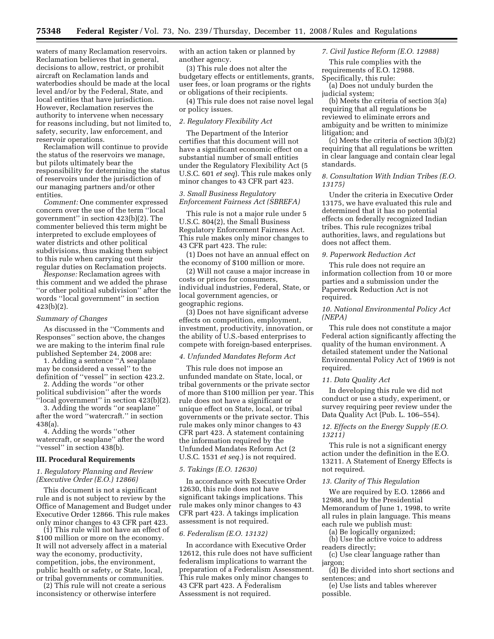waters of many Reclamation reservoirs. Reclamation believes that in general, decisions to allow, restrict, or prohibit aircraft on Reclamation lands and waterbodies should be made at the local level and/or by the Federal, State, and local entities that have jurisdiction. However, Reclamation reserves the authority to intervene when necessary for reasons including, but not limited to, safety, security, law enforcement, and reservoir operations.

Reclamation will continue to provide the status of the reservoirs we manage, but pilots ultimately bear the responsibility for determining the status of reservoirs under the jurisdiction of our managing partners and/or other entities.

*Comment:* One commenter expressed concern over the use of the term ''local government'' in section 423(b)(2). The commenter believed this term might be interpreted to exclude employees of water districts and other political subdivisions, thus making them subject to this rule when carrying out their regular duties on Reclamation projects.

*Response:* Reclamation agrees with this comment and we added the phrase ''or other political subdivision'' after the words ''local government'' in section 423(b)(2).

## *Summary of Changes*

As discussed in the ''Comments and Responses'' section above, the changes we are making to the interim final rule published September 24, 2008 are:

1. Adding a sentence ''A seaplane may be considered a vessel'' to the definition of ''vessel'' in section 423.2.

2. Adding the words ''or other political subdivision'' after the words

'local government'' in section 423(b)(2). 3. Adding the words ''or seaplane'' after the word ''watercraft.'' in section 438(a).

4. Adding the words ''other watercraft, or seaplane'' after the word "vessel" in section 438(b).

#### **III. Procedural Requirements**

## *1. Regulatory Planning and Review (Executive Order (E.O.) 12866)*

This document is not a significant rule and is not subject to review by the Office of Management and Budget under Executive Order 12866. This rule makes only minor changes to 43 CFR part 423.

(1) This rule will not have an effect of \$100 million or more on the economy. It will not adversely affect in a material way the economy, productivity, competition, jobs, the environment, public health or safety, or State, local, or tribal governments or communities.

(2) This rule will not create a serious inconsistency or otherwise interfere

with an action taken or planned by another agency.

(3) This rule does not alter the budgetary effects or entitlements, grants, user fees, or loan programs or the rights or obligations of their recipients.

(4) This rule does not raise novel legal or policy issues.

## *2. Regulatory Flexibility Act*

The Department of the Interior certifies that this document will not have a significant economic effect on a substantial number of small entities under the Regulatory Flexibility Act (5 U.S.C. 601 *et seq*). This rule makes only minor changes to 43 CFR part 423.

*3. Small Business Regulatory Enforcement Fairness Act (SBREFA)* 

This rule is not a major rule under 5 U.S.C. 804(2), the Small Business Regulatory Enforcement Fairness Act. This rule makes only minor changes to 43 CFR part 423. The rule:

(1) Does not have an annual effect on the economy of \$100 million or more.

(2) Will not cause a major increase in costs or prices for consumers, individual industries, Federal, State, or local government agencies, or geographic regions.

(3) Does not have significant adverse effects on competition, employment, investment, productivity, innovation, or the ability of U.S.-based enterprises to compete with foreign-based enterprises.

#### *4. Unfunded Mandates Reform Act*

This rule does not impose an unfunded mandate on State, local, or tribal governments or the private sector of more than \$100 million per year. This rule does not have a significant or unique effect on State, local, or tribal governments or the private sector. This rule makes only minor changes to 43 CFR part 423. A statement containing the information required by the Unfunded Mandates Reform Act (2 U.S.C. 1531 *et seq.*) is not required.

## *5. Takings (E.O. 12630)*

In accordance with Executive Order 12630, this rule does not have significant takings implications. This rule makes only minor changes to 43 CFR part 423. A takings implication assessment is not required.

## *6. Federalism (E.O. 13132)*

In accordance with Executive Order 12612, this rule does not have sufficient federalism implications to warrant the preparation of a Federalism Assessment. This rule makes only minor changes to 43 CFR part 423. A Federalism Assessment is not required.

## *7. Civil Justice Reform (E.O. 12988)*

This rule complies with the requirements of E.O. 12988. Specifically, this rule:

(a) Does not unduly burden the judicial system;

(b) Meets the criteria of section 3(a) requiring that all regulations be reviewed to eliminate errors and ambiguity and be written to minimize litigation; and

(c) Meets the criteria of section 3(b)(2) requiring that all regulations be written in clear language and contain clear legal standards.

*8. Consultation With Indian Tribes (E.O. 13175)* 

Under the criteria in Executive Order 13175, we have evaluated this rule and determined that it has no potential effects on federally recognized Indian tribes. This rule recognizes tribal authorities, laws, and regulations but does not affect them.

#### *9. Paperwork Reduction Act*

This rule does not require an information collection from 10 or more parties and a submission under the Paperwork Reduction Act is not required.

## *10. National Environmental Policy Act (NEPA)*

This rule does not constitute a major Federal action significantly affecting the quality of the human environment. A detailed statement under the National Environmental Policy Act of 1969 is not required.

#### *11. Data Quality Act*

In developing this rule we did not conduct or use a study, experiment, or survey requiring peer review under the Data Quality Act (Pub. L. 106–554).

## *12. Effects on the Energy Supply (E.O. 13211)*

This rule is not a significant energy action under the definition in the E.O. 13211. A Statement of Energy Effects is not required.

## *13. Clarity of This Regulation*

We are required by E.O. 12866 and 12988, and by the Presidential Memorandum of June 1, 1998, to write all rules in plain language. This means each rule we publish must:

(a) Be logically organized;

(b) Use the active voice to address readers directly;

(c) Use clear language rather than jargon;

(d) Be divided into short sections and sentences; and

(e) Use lists and tables wherever possible.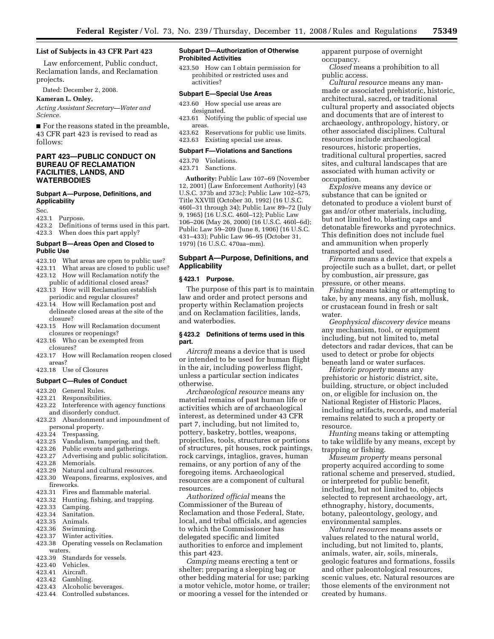## **List of Subjects in 43 CFR Part 423**

Law enforcement, Public conduct, Reclamation lands, and Reclamation projects.

Dated: December 2, 2008.

## **Kameran L. Onley,**

*Acting Assistant Secretary—Water and Science.* 

■ For the reasons stated in the preamble, 43 CFR part 423 is revised to read as follows:

## **PART 423—PUBLIC CONDUCT ON BUREAU OF RECLAMATION FACILITIES, LANDS, AND WATERBODIES**

## **Subpart A—Purpose, Definitions, and Applicability**

Sec.

## 423.1 Purpose.

- 423.2 Definitions of terms used in this part.
- 423.3 When does this part apply?

## **Subpart B—Areas Open and Closed to Public Use**

- 423.10 What areas are open to public use?
- 423.11 What areas are closed to public use?
- 423.12 How will Reclamation notify the public of additional closed areas?
- 423.13 How will Reclamation establish periodic and regular closures?
- 423.14 How will Reclamation post and delineate closed areas at the site of the closure?
- 423.15 How will Reclamation document closures or reopenings?
- 423.16 Who can be exempted from closures?
- 423.17 How will Reclamation reopen closed areas?
- 423.18 Use of Closures

## **Subpart C—Rules of Conduct**

- 423.20 General Rules.<br>423.21 Responsibilitie
- Responsibilities.
- 423.22 Interference with agency functions and disorderly conduct.
- 423.23 Abandonment and impoundment of
- personal property.<br>423.24 Trespassing.
- 423.24 Trespassing.<br>423.25 Vandalism.t 423.25 Vandalism, tampering, and theft.<br>423.26 Public events and gatherings.
- 423.26 Public events and gatherings.<br>423.27 Advertising and public solici
- Advertising and public solicitation.
- 423.28 Memorials.<br>423.29 Natural and
- Natural and cultural resources.
- 423.30 Weapons, firearms, explosives, and fireworks.
- 
- 423.31 Fires and flammable material.<br>423.32 Hunting fishing and tranning 423.32 Hunting, fishing, and trapping.
- 
- 423.33 Camping.<br>423.34 Sanitation
- 423.34 Sanitation.
- 423.35 Animals.<br>423.36 Swimmir
- 423.36 Swimming.<br>423.37 Winter acti Winter activities.
- 423.38 Operating vessels on Reclamation
- waters.<br>423.39 Sta Standards for vessels.
- 423.40 Vehicles.<br>423.41 Aircraft.
- 
- 423.41 Aircraft. Gambling.
- 423.43 Alcoholic beverages.
- 423.44 Controlled substances.

## **Subpart D—Authorization of Otherwise Prohibited Activities**

423.50 How can I obtain permission for prohibited or restricted uses and activities?

## **Subpart E—Special Use Areas**

- 423.60 How special use areas are designated.
- 423.61 Notifying the public of special use areas.
- 423.62 Reservations for public use limits.
- 423.63 Existing special use areas.

## **Subpart F—Violations and Sanctions**

423.70 Violations. 423.71 Sanctions.

**Authority:** Public Law 107–69 (November 12, 2001) (Law Enforcement Authority) (43 U.S.C. 373b and 373c); Public Law 102–575, Title XXVIII (October 30, 1992) (16 U.S.C. 460l–31 through 34); Public Law 89–72 (July 9, 1965) (16 U.S.C. 460l–12); Public Law 106–206 (May 26, 2000) (16 U.S.C. 460l–6d); Public Law 59–209 (June 8, 1906) (16 U.S.C. 431–433); Public Law 96–95 (October 31, 1979) (16 U.S.C. 470aa–mm).

## **Subpart A—Purpose, Definitions, and Applicability**

#### **§ 423.1 Purpose.**

The purpose of this part is to maintain law and order and protect persons and property within Reclamation projects and on Reclamation facilities, lands, and waterbodies.

## **§ 423.2 Definitions of terms used in this part.**

*Aircraft* means a device that is used or intended to be used for human flight in the air, including powerless flight, unless a particular section indicates otherwise.

*Archaeological resource* means any material remains of past human life or activities which are of archaeological interest, as determined under 43 CFR part 7, including, but not limited to, pottery, basketry, bottles, weapons, projectiles, tools, structures or portions of structures, pit houses, rock paintings, rock carvings, intaglios, graves, human remains, or any portion of any of the foregoing items. Archaeological resources are a component of cultural resources.

*Authorized official* means the Commissioner of the Bureau of Reclamation and those Federal, State, local, and tribal officials, and agencies to which the Commissioner has delegated specific and limited authorities to enforce and implement this part 423.

*Camping* means erecting a tent or shelter; preparing a sleeping bag or other bedding material for use; parking a motor vehicle, motor home, or trailer; or mooring a vessel for the intended or

apparent purpose of overnight occupancy.

*Closed* means a prohibition to all public access.

*Cultural resource* means any manmade or associated prehistoric, historic, architectural, sacred, or traditional cultural property and associated objects and documents that are of interest to archaeology, anthropology, history, or other associated disciplines. Cultural resources include archaeological resources, historic properties, traditional cultural properties, sacred sites, and cultural landscapes that are associated with human activity or occupation.

*Explosive* means any device or substance that can be ignited or detonated to produce a violent burst of gas and/or other materials, including, but not limited to, blasting caps and detonatable fireworks and pyrotechnics. This definition does not include fuel and ammunition when properly transported and used.

*Firearm* means a device that expels a projectile such as a bullet, dart, or pellet by combustion, air pressure, gas pressure, or other means.

*Fishing* means taking or attempting to take, by any means, any fish, mollusk, or crustacean found in fresh or salt water.

*Geophysical discovery device* means any mechanism, tool, or equipment including, but not limited to, metal detectors and radar devices, that can be used to detect or probe for objects beneath land or water surfaces.

*Historic property* means any prehistoric or historic district, site, building, structure, or object included on, or eligible for inclusion on, the National Register of Historic Places, including artifacts, records, and material remains related to such a property or resource.

*Hunting* means taking or attempting to take wildlife by any means, except by trapping or fishing.

*Museum property* means personal property acquired according to some rational scheme and preserved, studied, or interpreted for public benefit, including, but not limited to, objects selected to represent archaeology, art, ethnography, history, documents, botany, paleontology, geology, and environmental samples.

*Natural resources* means assets or values related to the natural world, including, but not limited to, plants, animals, water, air, soils, minerals, geologic features and formations, fossils and other paleontological resources, scenic values, etc. Natural resources are those elements of the environment not created by humans.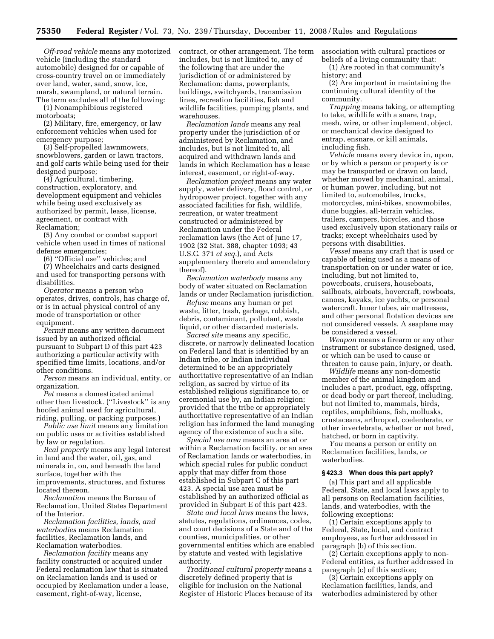*Off-road vehicle* means any motorized vehicle (including the standard automobile) designed for or capable of cross-country travel on or immediately over land, water, sand, snow, ice, marsh, swampland, or natural terrain. The term excludes all of the following:

(1) Nonamphibious registered motorboats;

(2) Military, fire, emergency, or law enforcement vehicles when used for emergency purpose;

(3) Self-propelled lawnmowers, snowblowers, garden or lawn tractors, and golf carts while being used for their designed purpose;

(4) Agricultural, timbering, construction, exploratory, and development equipment and vehicles while being used exclusively as authorized by permit, lease, license, agreement, or contract with Reclamation;

(5) Any combat or combat support vehicle when used in times of national defense emergencies;

(6) ''Official use'' vehicles; and

(7) Wheelchairs and carts designed and used for transporting persons with disabilities.

*Operator* means a person who operates, drives, controls, has charge of, or is in actual physical control of any mode of transportation or other equipment.

*Permit* means any written document issued by an authorized official pursuant to Subpart D of this part 423 authorizing a particular activity with specified time limits, locations, and/or other conditions.

*Person* means an individual, entity, or organization.

*Pet* means a domesticated animal other than livestock. (''Livestock'' is any hoofed animal used for agricultural, riding, pulling, or packing purposes.)

*Public use limit* means any limitation on public uses or activities established by law or regulation.

*Real property* means any legal interest in land and the water, oil, gas, and minerals in, on, and beneath the land surface, together with the improvements, structures, and fixtures located thereon.

*Reclamation* means the Bureau of Reclamation, United States Department of the Interior.

*Reclamation facilities, lands, and waterbodies* means Reclamation facilities, Reclamation lands, and Reclamation waterbodies.

*Reclamation facility* means any facility constructed or acquired under Federal reclamation law that is situated on Reclamation lands and is used or occupied by Reclamation under a lease, easement, right-of-way, license,

contract, or other arrangement. The term includes, but is not limited to, any of the following that are under the jurisdiction of or administered by Reclamation: dams, powerplants, buildings, switchyards, transmission lines, recreation facilities, fish and wildlife facilities, pumping plants, and warehouses.

*Reclamation lands* means any real property under the jurisdiction of or administered by Reclamation, and includes, but is not limited to, all acquired and withdrawn lands and lands in which Reclamation has a lease interest, easement, or right-of-way.

*Reclamation project* means any water supply, water delivery, flood control, or hydropower project, together with any associated facilities for fish, wildlife, recreation, or water treatment constructed or administered by Reclamation under the Federal reclamation laws (the Act of June 17, 1902 (32 Stat. 388, chapter 1093; 43 U.S.C. 371 *et seq.*), and Acts supplementary thereto and amendatory thereof).

*Reclamation waterbody* means any body of water situated on Reclamation lands or under Reclamation jurisdiction.

*Refuse* means any human or pet waste, litter, trash, garbage, rubbish, debris, contaminant, pollutant, waste liquid, or other discarded materials.

*Sacred site* means any specific, discrete, or narrowly delineated location on Federal land that is identified by an Indian tribe, or Indian individual determined to be an appropriately authoritative representative of an Indian religion, as sacred by virtue of its established religious significance to, or ceremonial use by, an Indian religion; provided that the tribe or appropriately authoritative representative of an Indian religion has informed the land managing agency of the existence of such a site.

*Special use area* means an area at or within a Reclamation facility, or an area of Reclamation lands or waterbodies, in which special rules for public conduct apply that may differ from those established in Subpart C of this part 423. A special use area must be established by an authorized official as provided in Subpart E of this part 423.

*State and local laws* means the laws, statutes, regulations, ordinances, codes, and court decisions of a State and of the counties, municipalities, or other governmental entities which are enabled by statute and vested with legislative authority.

*Traditional cultural property* means a discretely defined property that is eligible for inclusion on the National Register of Historic Places because of its association with cultural practices or beliefs of a living community that: (1) Are rooted in that community's

history; and

(2) Are important in maintaining the continuing cultural identity of the community.

*Trapping* means taking, or attempting to take, wildlife with a snare, trap, mesh, wire, or other implement, object, or mechanical device designed to entrap, ensnare, or kill animals, including fish.

*Vehicle* means every device in, upon, or by which a person or property is or may be transported or drawn on land, whether moved by mechanical, animal, or human power, including, but not limited to, automobiles, trucks, motorcycles, mini-bikes, snowmobiles, dune buggies, all-terrain vehicles, trailers, campers, bicycles, and those used exclusively upon stationary rails or tracks; except wheelchairs used by persons with disabilities.

*Vessel* means any craft that is used or capable of being used as a means of transportation on or under water or ice, including, but not limited to, powerboats, cruisers, houseboats, sailboats, airboats, hovercraft, rowboats, canoes, kayaks, ice yachts, or personal watercraft. Inner tubes, air mattresses, and other personal flotation devices are not considered vessels. A seaplane may be considered a vessel.

*Weapon* means a firearm or any other instrument or substance designed, used, or which can be used to cause or threaten to cause pain, injury, or death.

*Wildlife* means any non-domestic member of the animal kingdom and includes a part, product, egg, offspring, or dead body or part thereof, including, but not limited to, mammals, birds, reptiles, amphibians, fish, mollusks, crustaceans, arthropod, coelenterate, or other invertebrate, whether or not bred, hatched, or born in captivity.

*You* means a person or entity on Reclamation facilities, lands, or waterbodies.

## **§ 423.3 When does this part apply?**

(a) This part and all applicable Federal, State, and local laws apply to all persons on Reclamation facilities, lands, and waterbodies, with the following exceptions:

(1) Certain exceptions apply to Federal, State, local, and contract employees, as further addressed in paragraph (b) of this section.

(2) Certain exceptions apply to non-Federal entities, as further addressed in paragraph (c) of this section;

(3) Certain exceptions apply on Reclamation facilities, lands, and waterbodies administered by other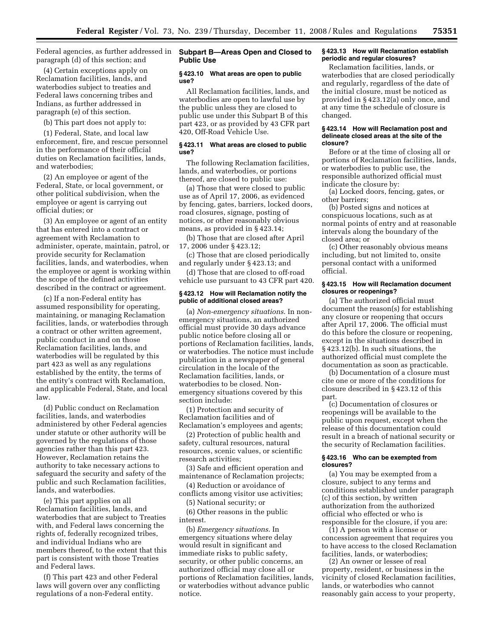Federal agencies, as further addressed in **Subpart B—Areas Open and Closed to**  paragraph (d) of this section; and

(4) Certain exceptions apply on Reclamation facilities, lands, and waterbodies subject to treaties and Federal laws concerning tribes and Indians, as further addressed in paragraph (e) of this section.

(b) This part does not apply to:

(1) Federal, State, and local law enforcement, fire, and rescue personnel in the performance of their official duties on Reclamation facilities, lands, and waterbodies;

(2) An employee or agent of the Federal, State, or local government, or other political subdivision, when the employee or agent is carrying out official duties; or

(3) An employee or agent of an entity that has entered into a contract or agreement with Reclamation to administer, operate, maintain, patrol, or provide security for Reclamation facilities, lands, and waterbodies, when the employee or agent is working within the scope of the defined activities described in the contract or agreement.

(c) If a non-Federal entity has assumed responsibility for operating, maintaining, or managing Reclamation facilities, lands, or waterbodies through a contract or other written agreement, public conduct in and on those Reclamation facilities, lands, and waterbodies will be regulated by this part 423 as well as any regulations established by the entity, the terms of the entity's contract with Reclamation, and applicable Federal, State, and local law.

(d) Public conduct on Reclamation facilities, lands, and waterbodies administered by other Federal agencies under statute or other authority will be governed by the regulations of those agencies rather than this part 423. However, Reclamation retains the authority to take necessary actions to safeguard the security and safety of the public and such Reclamation facilities, lands, and waterbodies.

(e) This part applies on all Reclamation facilities, lands, and waterbodies that are subject to Treaties with, and Federal laws concerning the rights of, federally recognized tribes, and individual Indians who are members thereof, to the extent that this part is consistent with those Treaties and Federal laws.

(f) This part 423 and other Federal laws will govern over any conflicting regulations of a non-Federal entity.

# **Public Use**

## **§ 423.10 What areas are open to public use?**

All Reclamation facilities, lands, and waterbodies are open to lawful use by the public unless they are closed to public use under this Subpart B of this part 423, or as provided by 43 CFR part 420, Off-Road Vehicle Use.

## **§ 423.11 What areas are closed to public use?**

The following Reclamation facilities, lands, and waterbodies, or portions thereof, are closed to public use:

(a) Those that were closed to public use as of April 17, 2006, as evidenced by fencing, gates, barriers, locked doors, road closures, signage, posting of notices, or other reasonably obvious means, as provided in § 423.14;

(b) Those that are closed after April 17, 2006 under § 423.12;

(c) Those that are closed periodically and regularly under § 423.13; and

(d) Those that are closed to off-road vehicle use pursuant to 43 CFR part 420.

## **§ 423.12 How will Reclamation notify the public of additional closed areas?**

(a) *Non-emergency situations*. In nonemergency situations, an authorized official must provide 30 days advance public notice before closing all or portions of Reclamation facilities, lands, or waterbodies. The notice must include publication in a newspaper of general circulation in the locale of the Reclamation facilities, lands, or waterbodies to be closed. Nonemergency situations covered by this section include:

(1) Protection and security of Reclamation facilities and of Reclamation's employees and agents;

(2) Protection of public health and safety, cultural resources, natural resources, scenic values, or scientific research activities;

(3) Safe and efficient operation and maintenance of Reclamation projects;

(4) Reduction or avoidance of conflicts among visitor use activities;

(5) National security; or

(6) Other reasons in the public interest.

(b) *Emergency situations*. In emergency situations where delay would result in significant and immediate risks to public safety, security, or other public concerns, an authorized official may close all or portions of Reclamation facilities, lands, or waterbodies without advance public notice.

#### **§ 423.13 How will Reclamation establish periodic and regular closures?**

Reclamation facilities, lands, or waterbodies that are closed periodically and regularly, regardless of the date of the initial closure, must be noticed as provided in § 423.12(a) only once, and at any time the schedule of closure is changed.

## **§ 423.14 How will Reclamation post and delineate closed areas at the site of the closure?**

Before or at the time of closing all or portions of Reclamation facilities, lands, or waterbodies to public use, the responsible authorized official must indicate the closure by:

(a) Locked doors, fencing, gates, or other barriers;

(b) Posted signs and notices at conspicuous locations, such as at normal points of entry and at reasonable intervals along the boundary of the closed area; or

(c) Other reasonably obvious means including, but not limited to, onsite personal contact with a uniformed official.

## **§ 423.15 How will Reclamation document closures or reopenings?**

(a) The authorized official must document the reason(s) for establishing any closure or reopening that occurs after April 17, 2006. The official must do this before the closure or reopening, except in the situations described in § 423.12(b). In such situations, the authorized official must complete the documentation as soon as practicable.

(b) Documentation of a closure must cite one or more of the conditions for closure described in § 423.12 of this part.

(c) Documentation of closures or reopenings will be available to the public upon request, except when the release of this documentation could result in a breach of national security or the security of Reclamation facilities.

## **§ 423.16 Who can be exempted from closures?**

(a) You may be exempted from a closure, subject to any terms and conditions established under paragraph (c) of this section, by written authorization from the authorized official who effected or who is responsible for the closure, if you are:

(1) A person with a license or concession agreement that requires you to have access to the closed Reclamation facilities, lands, or waterbodies;

(2) An owner or lessee of real property, resident, or business in the vicinity of closed Reclamation facilities, lands, or waterbodies who cannot reasonably gain access to your property,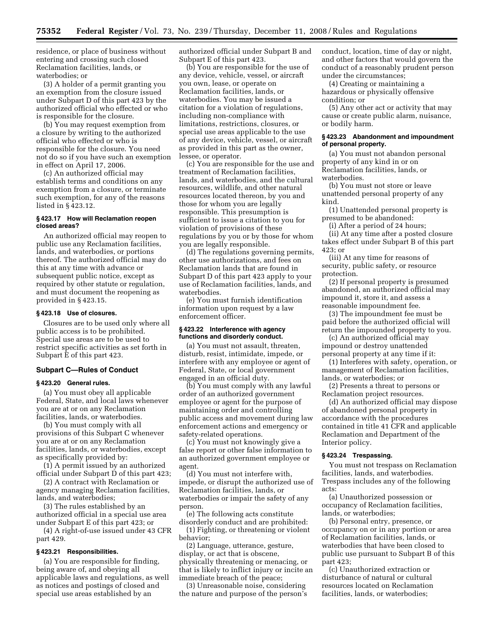residence, or place of business without entering and crossing such closed Reclamation facilities, lands, or waterbodies; or

(3) A holder of a permit granting you an exemption from the closure issued under Subpart D of this part 423 by the authorized official who effected or who is responsible for the closure.

(b) You may request exemption from a closure by writing to the authorized official who effected or who is responsible for the closure. You need not do so if you have such an exemption in effect on April 17, 2006.

(c) An authorized official may establish terms and conditions on any exemption from a closure, or terminate such exemption, for any of the reasons listed in § 423.12.

#### **§ 423.17 How will Reclamation reopen closed areas?**

An authorized official may reopen to public use any Reclamation facilities, lands, and waterbodies, or portions thereof. The authorized official may do this at any time with advance or subsequent public notice, except as required by other statute or regulation, and must document the reopening as provided in § 423.15.

## **§ 423.18 Use of closures.**

Closures are to be used only where all public access is to be prohibited. Special use areas are to be used to restrict specific activities as set forth in Subpart E of this part 423.

#### **Subpart C—Rules of Conduct**

#### **§ 423.20 General rules.**

(a) You must obey all applicable Federal, State, and local laws whenever you are at or on any Reclamation facilities, lands, or waterbodies.

(b) You must comply with all provisions of this Subpart C whenever you are at or on any Reclamation facilities, lands, or waterbodies, except as specifically provided by:

(1) A permit issued by an authorized official under Subpart D of this part 423;

(2) A contract with Reclamation or agency managing Reclamation facilities, lands, and waterbodies;

(3) The rules established by an authorized official in a special use area under Subpart E of this part 423; or

(4) A right-of-use issued under 43 CFR part 429.

## **§ 423.21 Responsibilities.**

(a) You are responsible for finding, being aware of, and obeying all applicable laws and regulations, as well as notices and postings of closed and special use areas established by an

authorized official under Subpart B and Subpart E of this part 423.

(b) You are responsible for the use of any device, vehicle, vessel, or aircraft you own, lease, or operate on Reclamation facilities, lands, or waterbodies. You may be issued a citation for a violation of regulations, including non-compliance with limitations, restrictions, closures, or special use areas applicable to the use of any device, vehicle, vessel, or aircraft as provided in this part as the owner, lessee, or operator.

(c) You are responsible for the use and treatment of Reclamation facilities, lands, and waterbodies, and the cultural resources, wildlife, and other natural resources located thereon, by you and those for whom you are legally responsible. This presumption is sufficient to issue a citation to you for violation of provisions of these regulations by you or by those for whom you are legally responsible.

(d) The regulations governing permits, other use authorizations, and fees on Reclamation lands that are found in Subpart D of this part 423 apply to your use of Reclamation facilities, lands, and waterbodies.

(e) You must furnish identification information upon request by a law enforcement officer.

#### **§ 423.22 Interference with agency functions and disorderly conduct.**

(a) You must not assault, threaten, disturb, resist, intimidate, impede, or interfere with any employee or agent of Federal, State, or local government engaged in an official duty.

(b) You must comply with any lawful order of an authorized government employee or agent for the purpose of maintaining order and controlling public access and movement during law enforcement actions and emergency or safety-related operations.

(c) You must not knowingly give a false report or other false information to an authorized government employee or agent.

(d) You must not interfere with, impede, or disrupt the authorized use of Reclamation facilities, lands, or waterbodies or impair the safety of any person.

(e) The following acts constitute disorderly conduct and are prohibited:

(1) Fighting, or threatening or violent behavior;

(2) Language, utterance, gesture, display, or act that is obscene, physically threatening or menacing, or that is likely to inflict injury or incite an immediate breach of the peace;

(3) Unreasonable noise, considering the nature and purpose of the person's conduct, location, time of day or night, and other factors that would govern the conduct of a reasonably prudent person under the circumstances;

(4) Creating or maintaining a hazardous or physically offensive condition; or

(5) Any other act or activity that may cause or create public alarm, nuisance, or bodily harm.

## **§ 423.23 Abandonment and impoundment of personal property.**

(a) You must not abandon personal property of any kind in or on Reclamation facilities, lands, or waterbodies.

(b) You must not store or leave unattended personal property of any kind.

(1) Unattended personal property is presumed to be abandoned:

(i) After a period of 24 hours;

(ii) At any time after a posted closure takes effect under Subpart B of this part 423; or

(iii) At any time for reasons of security, public safety, or resource protection.

(2) If personal property is presumed abandoned, an authorized official may impound it, store it, and assess a reasonable impoundment fee.

(3) The impoundment fee must be paid before the authorized official will return the impounded property to you.

(c) An authorized official may impound or destroy unattended personal property at any time if it:

(1) Interferes with safety, operation, or management of Reclamation facilities, lands, or waterbodies; or

(2) Presents a threat to persons or Reclamation project resources.

(d) An authorized official may dispose of abandoned personal property in accordance with the procedures contained in title 41 CFR and applicable Reclamation and Department of the Interior policy.

#### **§ 423.24 Trespassing.**

You must not trespass on Reclamation facilities, lands, and waterbodies. Trespass includes any of the following acts:

(a) Unauthorized possession or occupancy of Reclamation facilities, lands, or waterbodies;

(b) Personal entry, presence, or occupancy on or in any portion or area of Reclamation facilities, lands, or waterbodies that have been closed to public use pursuant to Subpart B of this part 423;

(c) Unauthorized extraction or disturbance of natural or cultural resources located on Reclamation facilities, lands, or waterbodies;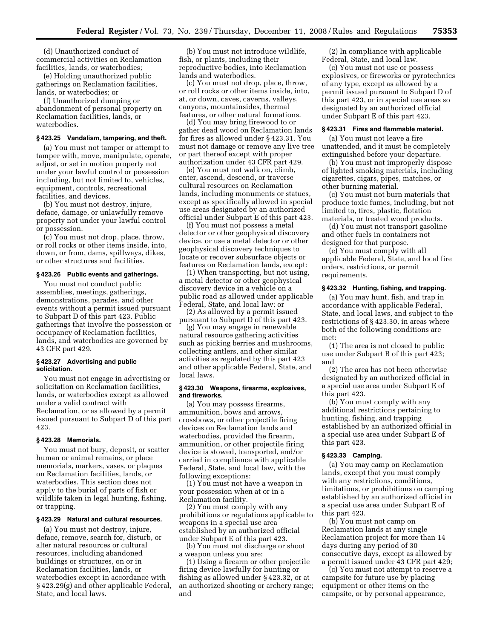(d) Unauthorized conduct of commercial activities on Reclamation facilities, lands, or waterbodies;

(e) Holding unauthorized public gatherings on Reclamation facilities, lands, or waterbodies; or

(f) Unauthorized dumping or abandonment of personal property on Reclamation facilities, lands, or waterbodies.

## **§ 423.25 Vandalism, tampering, and theft.**

(a) You must not tamper or attempt to tamper with, move, manipulate, operate, adjust, or set in motion property not under your lawful control or possession including, but not limited to, vehicles, equipment, controls, recreational facilities, and devices.

(b) You must not destroy, injure, deface, damage, or unlawfully remove property not under your lawful control or possession.

(c) You must not drop, place, throw, or roll rocks or other items inside, into, down, or from, dams, spillways, dikes, or other structures and facilities.

## **§ 423.26 Public events and gatherings.**

You must not conduct public assemblies, meetings, gatherings, demonstrations, parades, and other events without a permit issued pursuant to Subpart D of this part 423. Public gatherings that involve the possession or occupancy of Reclamation facilities, lands, and waterbodies are governed by 43 CFR part 429.

#### **§ 423.27 Advertising and public solicitation.**

You must not engage in advertising or solicitation on Reclamation facilities, lands, or waterbodies except as allowed under a valid contract with Reclamation, or as allowed by a permit issued pursuant to Subpart D of this part 423.

#### **§ 423.28 Memorials.**

You must not bury, deposit, or scatter human or animal remains, or place memorials, markers, vases, or plaques on Reclamation facilities, lands, or waterbodies. This section does not apply to the burial of parts of fish or wildlife taken in legal hunting, fishing, or trapping.

## **§ 423.29 Natural and cultural resources.**

(a) You must not destroy, injure, deface, remove, search for, disturb, or alter natural resources or cultural resources, including abandoned buildings or structures, on or in Reclamation facilities, lands, or waterbodies except in accordance with § 423.29(g) and other applicable Federal, State, and local laws.

(b) You must not introduce wildlife, fish, or plants, including their reproductive bodies, into Reclamation lands and waterbodies.

(c) You must not drop, place, throw, or roll rocks or other items inside, into, at, or down, caves, caverns, valleys, canyons, mountainsides, thermal features, or other natural formations.

(d) You may bring firewood to or gather dead wood on Reclamation lands for fires as allowed under § 423.31. You must not damage or remove any live tree or part thereof except with proper authorization under 43 CFR part 429.

(e) You must not walk on, climb, enter, ascend, descend, or traverse cultural resources on Reclamation lands, including monuments or statues, except as specifically allowed in special use areas designated by an authorized official under Subpart E of this part 423.

(f) You must not possess a metal detector or other geophysical discovery device, or use a metal detector or other geophysical discovery techniques to locate or recover subsurface objects or features on Reclamation lands, except:

(1) When transporting, but not using, a metal detector or other geophysical discovery device in a vehicle on a public road as allowed under applicable Federal, State, and local law; or

(2) As allowed by a permit issued pursuant to Subpart D of this part 423.

(g) You may engage in renewable natural resource gathering activities such as picking berries and mushrooms, collecting antlers, and other similar activities as regulated by this part 423 and other applicable Federal, State, and local laws.

#### **§ 423.30 Weapons, firearms, explosives, and fireworks.**

(a) You may possess firearms, ammunition, bows and arrows, crossbows, or other projectile firing devices on Reclamation lands and waterbodies, provided the firearm, ammunition, or other projectile firing device is stowed, transported, and/or carried in compliance with applicable Federal, State, and local law, with the following exceptions:

(1) You must not have a weapon in your possession when at or in a Reclamation facility.

(2) You must comply with any prohibitions or regulations applicable to weapons in a special use area established by an authorized official under Subpart E of this part 423.

(b) You must not discharge or shoot a weapon unless you are:

(1) Using a firearm or other projectile firing device lawfully for hunting or fishing as allowed under § 423.32, or at an authorized shooting or archery range; and

(2) In compliance with applicable Federal, State, and local law.

(c) You must not use or possess explosives, or fireworks or pyrotechnics of any type, except as allowed by a permit issued pursuant to Subpart D of this part 423, or in special use areas so designated by an authorized official under Subpart E of this part 423.

#### **§ 423.31 Fires and flammable material.**

(a) You must not leave a fire unattended, and it must be completely extinguished before your departure.

(b) You must not improperly dispose of lighted smoking materials, including cigarettes, cigars, pipes, matches, or other burning material.

(c) You must not burn materials that produce toxic fumes, including, but not limited to, tires, plastic, flotation materials, or treated wood products.

(d) You must not transport gasoline and other fuels in containers not designed for that purpose.

(e) You must comply with all applicable Federal, State, and local fire orders, restrictions, or permit requirements.

#### **§ 423.32 Hunting, fishing, and trapping.**

(a) You may hunt, fish, and trap in accordance with applicable Federal, State, and local laws, and subject to the restrictions of § 423.30, in areas where both of the following conditions are met:

(1) The area is not closed to public use under Subpart B of this part 423; and

(2) The area has not been otherwise designated by an authorized official in a special use area under Subpart E of this part 423.

(b) You must comply with any additional restrictions pertaining to hunting, fishing, and trapping established by an authorized official in a special use area under Subpart E of this part 423.

#### **§ 423.33 Camping.**

(a) You may camp on Reclamation lands, except that you must comply with any restrictions, conditions, limitations, or prohibitions on camping established by an authorized official in a special use area under Subpart E of this part 423.

(b) You must not camp on Reclamation lands at any single Reclamation project for more than 14 days during any period of 30 consecutive days, except as allowed by a permit issued under 43 CFR part 429;

(c) You must not attempt to reserve a campsite for future use by placing equipment or other items on the campsite, or by personal appearance,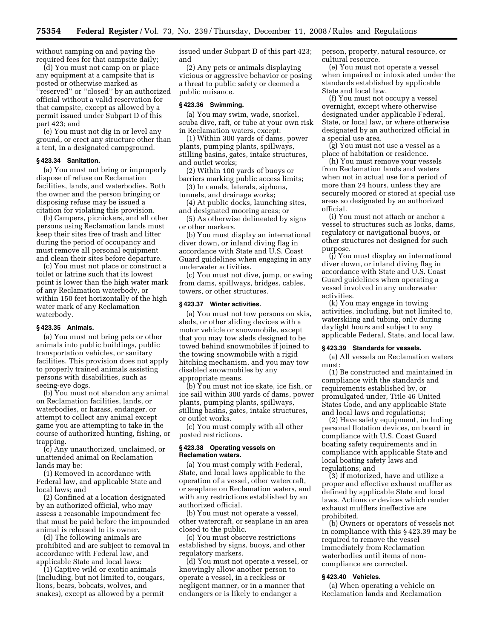without camping on and paying the required fees for that campsite daily;

(d) You must not camp on or place any equipment at a campsite that is posted or otherwise marked as ''reserved'' or ''closed'' by an authorized official without a valid reservation for that campsite, except as allowed by a permit issued under Subpart D of this part 423; and

(e) You must not dig in or level any ground, or erect any structure other than a tent, in a designated campground.

#### **§ 423.34 Sanitation.**

(a) You must not bring or improperly dispose of refuse on Reclamation facilities, lands, and waterbodies. Both the owner and the person bringing or disposing refuse may be issued a citation for violating this provision.

(b) Campers, picnickers, and all other persons using Reclamation lands must keep their sites free of trash and litter during the period of occupancy and must remove all personal equipment and clean their sites before departure.

(c) You must not place or construct a toilet or latrine such that its lowest point is lower than the high water mark of any Reclamation waterbody, or within 150 feet horizontally of the high water mark of any Reclamation waterbody.

## **§ 423.35 Animals.**

(a) You must not bring pets or other animals into public buildings, public transportation vehicles, or sanitary facilities. This provision does not apply to properly trained animals assisting persons with disabilities, such as seeing-eye dogs.

(b) You must not abandon any animal on Reclamation facilities, lands, or waterbodies, or harass, endanger, or attempt to collect any animal except game you are attempting to take in the course of authorized hunting, fishing, or trapping.

(c) Any unauthorized, unclaimed, or unattended animal on Reclamation lands may be:

(1) Removed in accordance with Federal law, and applicable State and local laws; and

(2) Confined at a location designated by an authorized official, who may assess a reasonable impoundment fee that must be paid before the impounded animal is released to its owner.

(d) The following animals are prohibited and are subject to removal in accordance with Federal law, and applicable State and local laws:

(1) Captive wild or exotic animals (including, but not limited to, cougars, lions, bears, bobcats, wolves, and snakes), except as allowed by a permit issued under Subpart D of this part 423; and

(2) Any pets or animals displaying vicious or aggressive behavior or posing a threat to public safety or deemed a public nuisance.

## **§ 423.36 Swimming.**

(a) You may swim, wade, snorkel, scuba dive, raft, or tube at your own risk in Reclamation waters, except:

(1) Within 300 yards of dams, power plants, pumping plants, spillways, stilling basins, gates, intake structures, and outlet works;

(2) Within 100 yards of buoys or barriers marking public access limits;

(3) In canals, laterals, siphons, tunnels, and drainage works;

(4) At public docks, launching sites, and designated mooring areas; or

(5) As otherwise delineated by signs or other markers.

(b) You must display an international diver down, or inland diving flag in accordance with State and U.S. Coast Guard guidelines when engaging in any underwater activities.

(c) You must not dive, jump, or swing from dams, spillways, bridges, cables, towers, or other structures.

#### **§ 423.37 Winter activities.**

(a) You must not tow persons on skis, sleds, or other sliding devices with a motor vehicle or snowmobile, except that you may tow sleds designed to be towed behind snowmobiles if joined to the towing snowmobile with a rigid hitching mechanism, and you may tow disabled snowmobiles by any appropriate means.

(b) You must not ice skate, ice fish, or ice sail within 300 yards of dams, power plants, pumping plants, spillways, stilling basins, gates, intake structures, or outlet works.

(c) You must comply with all other posted restrictions.

## **§ 423.38 Operating vessels on Reclamation waters.**

(a) You must comply with Federal, State, and local laws applicable to the operation of a vessel, other watercraft, or seaplane on Reclamation waters, and with any restrictions established by an authorized official.

(b) You must not operate a vessel, other watercraft, or seaplane in an area closed to the public.

(c) You must observe restrictions established by signs, buoys, and other regulatory markers.

(d) You must not operate a vessel, or knowingly allow another person to operate a vessel, in a reckless or negligent manner, or in a manner that endangers or is likely to endanger a

person, property, natural resource, or cultural resource.

(e) You must not operate a vessel when impaired or intoxicated under the standards established by applicable State and local law.

(f) You must not occupy a vessel overnight, except where otherwise designated under applicable Federal, State, or local law, or where otherwise designated by an authorized official in a special use area.

(g) You must not use a vessel as a place of habitation or residence.

(h) You must remove your vessels from Reclamation lands and waters when not in actual use for a period of more than 24 hours, unless they are securely moored or stored at special use areas so designated by an authorized official.

(i) You must not attach or anchor a vessel to structures such as locks, dams, regulatory or navigational buoys, or other structures not designed for such purpose.

(j) You must display an international diver down, or inland diving flag in accordance with State and U.S. Coast Guard guidelines when operating a vessel involved in any underwater activities.

(k) You may engage in towing activities, including, but not limited to, waterskiing and tubing, only during daylight hours and subject to any applicable Federal, State, and local law.

#### **§ 423.39 Standards for vessels.**

(a) All vessels on Reclamation waters must:

(1) Be constructed and maintained in compliance with the standards and requirements established by, or promulgated under, Title 46 United States Code, and any applicable State and local laws and regulations;

(2) Have safety equipment, including personal flotation devices, on board in compliance with U.S. Coast Guard boating safety requirements and in compliance with applicable State and local boating safety laws and regulations; and

(3) If motorized, have and utilize a proper and effective exhaust muffler as defined by applicable State and local laws. Actions or devices which render exhaust mufflers ineffective are prohibited.

(b) Owners or operators of vessels not in compliance with this § 423.39 may be required to remove the vessel immediately from Reclamation waterbodies until items of noncompliance are corrected.

#### **§ 423.40 Vehicles.**

(a) When operating a vehicle on Reclamation lands and Reclamation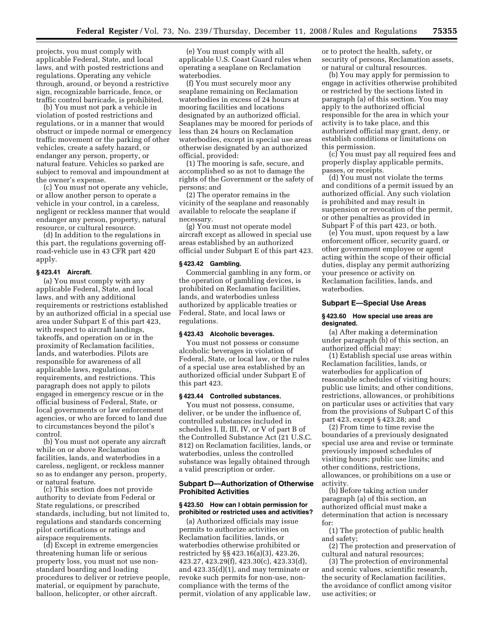projects, you must comply with applicable Federal, State, and local laws, and with posted restrictions and regulations. Operating any vehicle through, around, or beyond a restrictive sign, recognizable barricade, fence, or traffic control barricade, is prohibited.

(b) You must not park a vehicle in violation of posted restrictions and regulations, or in a manner that would obstruct or impede normal or emergency traffic movement or the parking of other vehicles, create a safety hazard, or endanger any person, property, or natural feature. Vehicles so parked are subject to removal and impoundment at the owner's expense.

(c) You must not operate any vehicle, or allow another person to operate a vehicle in your control, in a careless, negligent or reckless manner that would endanger any person, property, natural resource, or cultural resource.

(d) In addition to the regulations in this part, the regulations governing offroad-vehicle use in 43 CFR part 420 apply.

#### **§ 423.41 Aircraft.**

(a) You must comply with any applicable Federal, State, and local laws, and with any additional requirements or restrictions established by an authorized official in a special use area under Subpart E of this part 423, with respect to aircraft landings, takeoffs, and operation on or in the proximity of Reclamation facilities, lands, and waterbodies. Pilots are responsible for awareness of all applicable laws, regulations, requirements, and restrictions. This paragraph does not apply to pilots engaged in emergency rescue or in the official business of Federal, State, or local governments or law enforcement agencies, or who are forced to land due to circumstances beyond the pilot's control.

(b) You must not operate any aircraft while on or above Reclamation facilities, lands, and waterbodies in a careless, negligent, or reckless manner so as to endanger any person, property, or natural feature.

(c) This section does not provide authority to deviate from Federal or State regulations, or prescribed standards, including, but not limited to, regulations and standards concerning pilot certifications or ratings and airspace requirements.

(d) Except in extreme emergencies threatening human life or serious property loss, you must not use nonstandard boarding and loading procedures to deliver or retrieve people, material, or equipment by parachute, balloon, helicopter, or other aircraft.

(e) You must comply with all applicable U.S. Coast Guard rules when operating a seaplane on Reclamation waterbodies.

(f) You must securely moor any seaplane remaining on Reclamation waterbodies in excess of 24 hours at mooring facilities and locations designated by an authorized official. Seaplanes may be moored for periods of less than 24 hours on Reclamation waterbodies, except in special use areas otherwise designated by an authorized official, provided:

(1) The mooring is safe, secure, and accomplished so as not to damage the rights of the Government or the safety of persons; and

(2) The operator remains in the vicinity of the seaplane and reasonably available to relocate the seaplane if necessary.

(g) You must not operate model aircraft except as allowed in special use areas established by an authorized official under Subpart E of this part 423.

#### **§ 423.42 Gambling.**

Commercial gambling in any form, or the operation of gambling devices, is prohibited on Reclamation facilities, lands, and waterbodies unless authorized by applicable treaties or Federal, State, and local laws or regulations.

#### **§ 423.43 Alcoholic beverages.**

You must not possess or consume alcoholic beverages in violation of Federal, State, or local law, or the rules of a special use area established by an authorized official under Subpart E of this part 423.

#### **§ 423.44 Controlled substances.**

You must not possess, consume, deliver, or be under the influence of, controlled substances included in schedules I, II, III, IV, or V of part B of the Controlled Substance Act (21 U.S.C. 812) on Reclamation facilities, lands, or waterbodies, unless the controlled substance was legally obtained through a valid prescription or order.

## **Subpart D—Authorization of Otherwise Prohibited Activities**

## **§ 423.50 How can I obtain permission for prohibited or restricted uses and activities?**

(a) Authorized officials may issue permits to authorize activities on Reclamation facilities, lands, or waterbodies otherwise prohibited or restricted by §§ 423.16(a)(3), 423.26, 423.27, 423.29(f), 423.30(c), 423.33(d), and 423.35(d)(1), and may terminate or revoke such permits for non-use, noncompliance with the terms of the permit, violation of any applicable law,

or to protect the health, safety, or security of persons, Reclamation assets, or natural or cultural resources.

(b) You may apply for permission to engage in activities otherwise prohibited or restricted by the sections listed in paragraph (a) of this section. You may apply to the authorized official responsible for the area in which your activity is to take place, and this authorized official may grant, deny, or establish conditions or limitations on this permission.

(c) You must pay all required fees and properly display applicable permits, passes, or receipts.

(d) You must not violate the terms and conditions of a permit issued by an authorized official. Any such violation is prohibited and may result in suspension or revocation of the permit, or other penalties as provided in Subpart F of this part 423, or both.

(e) You must, upon request by a law enforcement officer, security guard, or other government employee or agent acting within the scope of their official duties, display any permit authorizing your presence or activity on Reclamation facilities, lands, and waterbodies.

## **Subpart E—Special Use Areas**

#### **§ 423.60 How special use areas are designated.**

(a) After making a determination under paragraph (b) of this section, an authorized official may:

(1) Establish special use areas within Reclamation facilities, lands, or waterbodies for application of reasonable schedules of visiting hours; public use limits; and other conditions, restrictions, allowances, or prohibitions on particular uses or activities that vary from the provisions of Subpart C of this part 423, except § 423.28; and

(2) From time to time revise the boundaries of a previously designated special use area and revise or terminate previously imposed schedules of visiting hours; public use limits; and other conditions, restrictions, allowances, or prohibitions on a use or activity.

(b) Before taking action under paragraph (a) of this section, an authorized official must make a determination that action is necessary for:

(1) The protection of public health and safety;

(2) The protection and preservation of cultural and natural resources;

(3) The protection of environmental and scenic values, scientific research, the security of Reclamation facilities, the avoidance of conflict among visitor use activities; or